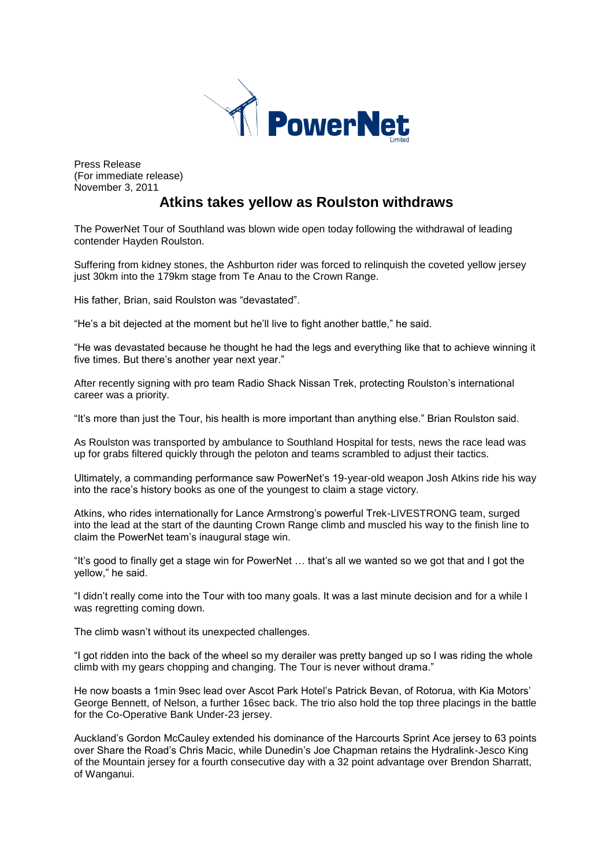

Press Release (For immediate release) November 3, 2011

# **Atkins takes yellow as Roulston withdraws**

The PowerNet Tour of Southland was blown wide open today following the withdrawal of leading contender Hayden Roulston.

Suffering from kidney stones, the Ashburton rider was forced to relinquish the coveted yellow jersey just 30km into the 179km stage from Te Anau to the Crown Range.

His father, Brian, said Roulston was "devastated".

"He's a bit dejected at the moment but he'll live to fight another battle," he said.

"He was devastated because he thought he had the legs and everything like that to achieve winning it five times. But there's another year next year."

After recently signing with pro team Radio Shack Nissan Trek, protecting Roulston's international career was a priority.

"It's more than just the Tour, his health is more important than anything else." Brian Roulston said.

As Roulston was transported by ambulance to Southland Hospital for tests, news the race lead was up for grabs filtered quickly through the peloton and teams scrambled to adjust their tactics.

Ultimately, a commanding performance saw PowerNet's 19-year-old weapon Josh Atkins ride his way into the race's history books as one of the youngest to claim a stage victory.

Atkins, who rides internationally for Lance Armstrong's powerful Trek-LIVESTRONG team, surged into the lead at the start of the daunting Crown Range climb and muscled his way to the finish line to claim the PowerNet team's inaugural stage win.

"It's good to finally get a stage win for PowerNet … that's all we wanted so we got that and I got the yellow," he said.

"I didn't really come into the Tour with too many goals. It was a last minute decision and for a while I was regretting coming down.

The climb wasn't without its unexpected challenges.

"I got ridden into the back of the wheel so my derailer was pretty banged up so I was riding the whole climb with my gears chopping and changing. The Tour is never without drama."

He now boasts a 1min 9sec lead over Ascot Park Hotel's Patrick Bevan, of Rotorua, with Kia Motors' George Bennett, of Nelson, a further 16sec back. The trio also hold the top three placings in the battle for the Co-Operative Bank Under-23 jersey.

Auckland's Gordon McCauley extended his dominance of the Harcourts Sprint Ace jersey to 63 points over Share the Road's Chris Macic, while Dunedin's Joe Chapman retains the Hydralink-Jesco King of the Mountain jersey for a fourth consecutive day with a 32 point advantage over Brendon Sharratt, of Wanganui.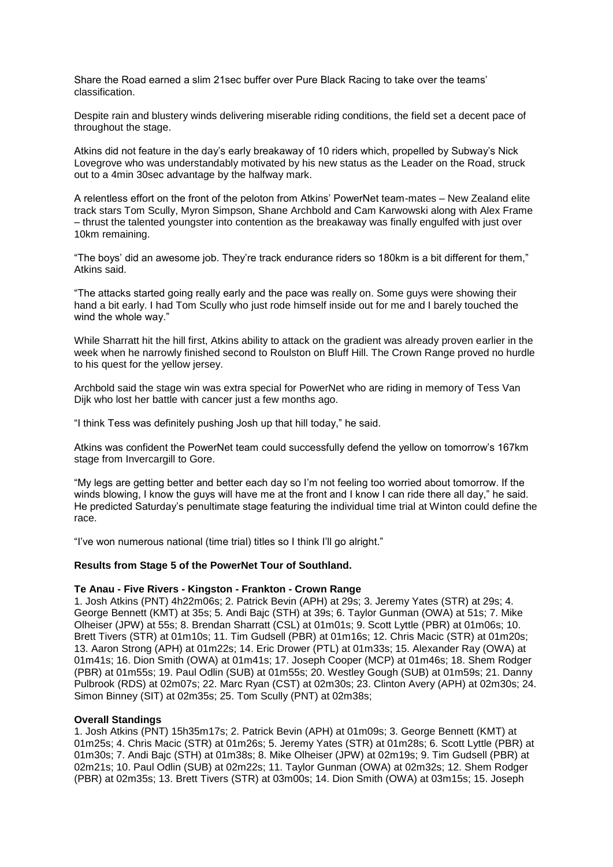Share the Road earned a slim 21sec buffer over Pure Black Racing to take over the teams' classification.

Despite rain and blustery winds delivering miserable riding conditions, the field set a decent pace of throughout the stage.

Atkins did not feature in the day's early breakaway of 10 riders which, propelled by Subway's Nick Lovegrove who was understandably motivated by his new status as the Leader on the Road, struck out to a 4min 30sec advantage by the halfway mark.

A relentless effort on the front of the peloton from Atkins' PowerNet team-mates – New Zealand elite track stars Tom Scully, Myron Simpson, Shane Archbold and Cam Karwowski along with Alex Frame – thrust the talented youngster into contention as the breakaway was finally engulfed with just over 10km remaining.

"The boys' did an awesome job. They're track endurance riders so 180km is a bit different for them," Atkins said.

"The attacks started going really early and the pace was really on. Some guys were showing their hand a bit early. I had Tom Scully who just rode himself inside out for me and I barely touched the wind the whole way."

While Sharratt hit the hill first, Atkins ability to attack on the gradient was already proven earlier in the week when he narrowly finished second to Roulston on Bluff Hill. The Crown Range proved no hurdle to his quest for the yellow jersey.

Archbold said the stage win was extra special for PowerNet who are riding in memory of Tess Van Dijk who lost her battle with cancer just a few months ago.

"I think Tess was definitely pushing Josh up that hill today," he said.

Atkins was confident the PowerNet team could successfully defend the yellow on tomorrow's 167km stage from Invercargill to Gore.

"My legs are getting better and better each day so I'm not feeling too worried about tomorrow. If the winds blowing, I know the guys will have me at the front and I know I can ride there all day," he said. He predicted Saturday's penultimate stage featuring the individual time trial at Winton could define the race.

"I've won numerous national (time trial) titles so I think I'll go alright."

# **Results from Stage 5 of the PowerNet Tour of Southland.**

#### **Te Anau - Five Rivers - Kingston - Frankton - Crown Range**

1. Josh Atkins (PNT) 4h22m06s; 2. Patrick Bevin (APH) at 29s; 3. Jeremy Yates (STR) at 29s; 4. George Bennett (KMT) at 35s; 5. Andi Bajc (STH) at 39s; 6. Taylor Gunman (OWA) at 51s; 7. Mike Olheiser (JPW) at 55s; 8. Brendan Sharratt (CSL) at 01m01s; 9. Scott Lyttle (PBR) at 01m06s; 10. Brett Tivers (STR) at 01m10s; 11. Tim Gudsell (PBR) at 01m16s; 12. Chris Macic (STR) at 01m20s; 13. Aaron Strong (APH) at 01m22s; 14. Eric Drower (PTL) at 01m33s; 15. Alexander Ray (OWA) at 01m41s; 16. Dion Smith (OWA) at 01m41s; 17. Joseph Cooper (MCP) at 01m46s; 18. Shem Rodger (PBR) at 01m55s; 19. Paul Odlin (SUB) at 01m55s; 20. Westley Gough (SUB) at 01m59s; 21. Danny Pulbrook (RDS) at 02m07s; 22. Marc Ryan (CST) at 02m30s; 23. Clinton Avery (APH) at 02m30s; 24. Simon Binney (SIT) at 02m35s; 25. Tom Scully (PNT) at 02m38s;

#### **Overall Standings**

1. Josh Atkins (PNT) 15h35m17s; 2. Patrick Bevin (APH) at 01m09s; 3. George Bennett (KMT) at 01m25s; 4. Chris Macic (STR) at 01m26s; 5. Jeremy Yates (STR) at 01m28s; 6. Scott Lyttle (PBR) at 01m30s; 7. Andi Bajc (STH) at 01m38s; 8. Mike Olheiser (JPW) at 02m19s; 9. Tim Gudsell (PBR) at 02m21s; 10. Paul Odlin (SUB) at 02m22s; 11. Taylor Gunman (OWA) at 02m32s; 12. Shem Rodger (PBR) at 02m35s; 13. Brett Tivers (STR) at 03m00s; 14. Dion Smith (OWA) at 03m15s; 15. Joseph